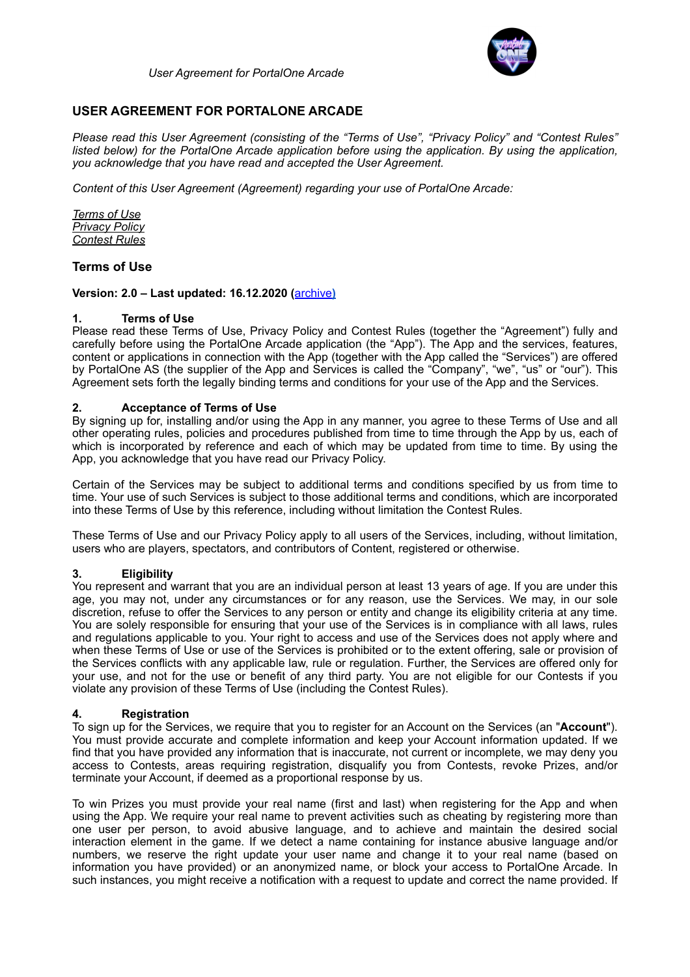

# **USER AGREEMENT FOR PORTALONE ARCADE**

*Please read this User Agreement (consisting of the "Terms of Use", "Privacy Policy" and "Contest Rules" listed below) for the PortalOne Arcade application before using the application. By using the application, you acknowledge that you have read and accepted the User Agreement.* 

*Content of this User Agreement (Agreement) regarding your use of PortalOne Arcade:* 

*Terms of Use Privacy Policy Contest Rules*

# **Terms of Use**

## **Version: 2.0 – Last updated: 16.12.2020 (**[archive](https://www.portalone.com/useragreement/archived)**)**

## **1. Terms of Use**

Please read these Terms of Use, Privacy Policy and Contest Rules (together the "Agreement") fully and carefully before using the PortalOne Arcade application (the "App"). The App and the services, features, content or applications in connection with the App (together with the App called the "Services") are offered by PortalOne AS (the supplier of the App and Services is called the "Company", "we", "us" or "our"). This Agreement sets forth the legally binding terms and conditions for your use of the App and the Services.

## **2. Acceptance of Terms of Use**

By signing up for, installing and/or using the App in any manner, you agree to these Terms of Use and all other operating rules, policies and procedures published from time to time through the App by us, each of which is incorporated by reference and each of which may be updated from time to time. By using the App, you acknowledge that you have read our Privacy Policy.

Certain of the Services may be subject to additional terms and conditions specified by us from time to time. Your use of such Services is subject to those additional terms and conditions, which are incorporated into these Terms of Use by this reference, including without limitation the Contest Rules.

These Terms of Use and our Privacy Policy apply to all users of the Services, including, without limitation, users who are players, spectators, and contributors of Content, registered or otherwise.

#### **3. Eligibility**

You represent and warrant that you are an individual person at least 13 years of age. If you are under this age, you may not, under any circumstances or for any reason, use the Services. We may, in our sole discretion, refuse to offer the Services to any person or entity and change its eligibility criteria at any time. You are solely responsible for ensuring that your use of the Services is in compliance with all laws, rules and regulations applicable to you. Your right to access and use of the Services does not apply where and when these Terms of Use or use of the Services is prohibited or to the extent offering, sale or provision of the Services conflicts with any applicable law, rule or regulation. Further, the Services are offered only for your use, and not for the use or benefit of any third party. You are not eligible for our Contests if you violate any provision of these Terms of Use (including the Contest Rules).

#### **4. Registration**

To sign up for the Services, we require that you to register for an Account on the Services (an "**Account**"). You must provide accurate and complete information and keep your Account information updated. If we find that you have provided any information that is inaccurate, not current or incomplete, we may deny you access to Contests, areas requiring registration, disqualify you from Contests, revoke Prizes, and/or terminate your Account, if deemed as a proportional response by us.

To win Prizes you must provide your real name (first and last) when registering for the App and when using the App. We require your real name to prevent activities such as cheating by registering more than one user per person, to avoid abusive language, and to achieve and maintain the desired social interaction element in the game. If we detect a name containing for instance abusive language and/or numbers, we reserve the right update your user name and change it to your real name (based on information you have provided) or an anonymized name, or block your access to PortalOne Arcade. In such instances, you might receive a notification with a request to update and correct the name provided. If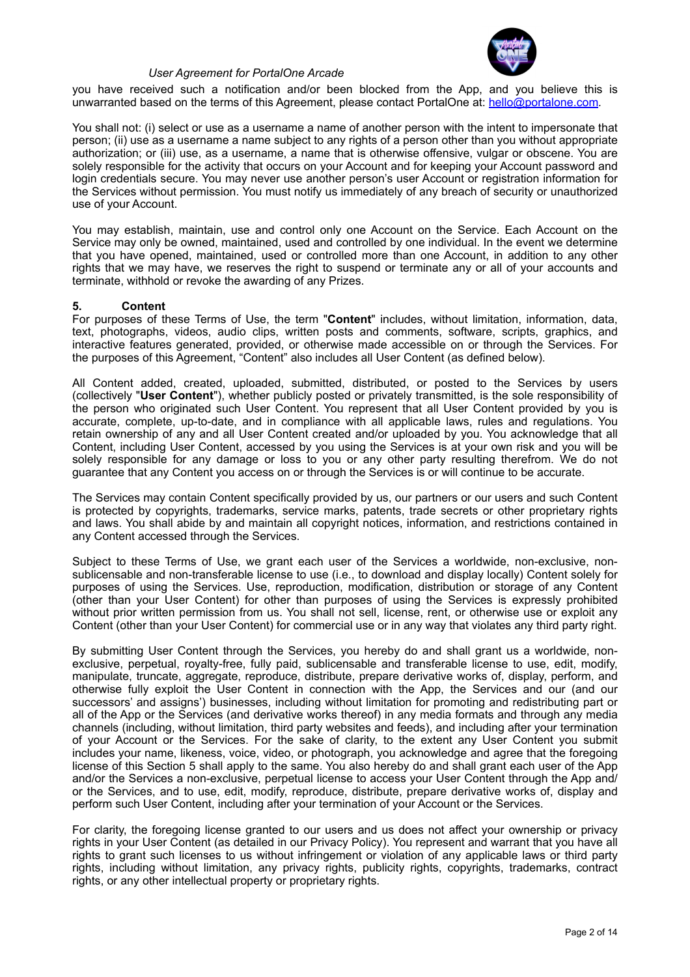

you have received such a notification and/or been blocked from the App, and you believe this is unwarranted based on the terms of this Agreement, please contact PortalOne at: [hello@portalone.com](mailto:hello@portalone.com)*.*

You shall not: (i) select or use as a username a name of another person with the intent to impersonate that person; (ii) use as a username a name subject to any rights of a person other than you without appropriate authorization; or (iii) use, as a username, a name that is otherwise offensive, vulgar or obscene. You are solely responsible for the activity that occurs on your Account and for keeping your Account password and login credentials secure. You may never use another person's user Account or registration information for the Services without permission. You must notify us immediately of any breach of security or unauthorized use of your Account.

You may establish, maintain, use and control only one Account on the Service. Each Account on the Service may only be owned, maintained, used and controlled by one individual. In the event we determine that you have opened, maintained, used or controlled more than one Account, in addition to any other rights that we may have, we reserves the right to suspend or terminate any or all of your accounts and terminate, withhold or revoke the awarding of any Prizes.

#### **5. Content**

For purposes of these Terms of Use, the term "**Content**" includes, without limitation, information, data, text, photographs, videos, audio clips, written posts and comments, software, scripts, graphics, and interactive features generated, provided, or otherwise made accessible on or through the Services. For the purposes of this Agreement, "Content" also includes all User Content (as defined below).

All Content added, created, uploaded, submitted, distributed, or posted to the Services by users (collectively "**User Content**"), whether publicly posted or privately transmitted, is the sole responsibility of the person who originated such User Content. You represent that all User Content provided by you is accurate, complete, up-to-date, and in compliance with all applicable laws, rules and regulations. You retain ownership of any and all User Content created and/or uploaded by you. You acknowledge that all Content, including User Content, accessed by you using the Services is at your own risk and you will be solely responsible for any damage or loss to you or any other party resulting therefrom. We do not guarantee that any Content you access on or through the Services is or will continue to be accurate.

The Services may contain Content specifically provided by us, our partners or our users and such Content is protected by copyrights, trademarks, service marks, patents, trade secrets or other proprietary rights and laws. You shall abide by and maintain all copyright notices, information, and restrictions contained in any Content accessed through the Services.

Subject to these Terms of Use, we grant each user of the Services a worldwide, non-exclusive, nonsublicensable and non-transferable license to use (i.e., to download and display locally) Content solely for purposes of using the Services. Use, reproduction, modification, distribution or storage of any Content (other than your User Content) for other than purposes of using the Services is expressly prohibited without prior written permission from us. You shall not sell, license, rent, or otherwise use or exploit any Content (other than your User Content) for commercial use or in any way that violates any third party right.

By submitting User Content through the Services, you hereby do and shall grant us a worldwide, nonexclusive, perpetual, royalty-free, fully paid, sublicensable and transferable license to use, edit, modify, manipulate, truncate, aggregate, reproduce, distribute, prepare derivative works of, display, perform, and otherwise fully exploit the User Content in connection with the App, the Services and our (and our successors' and assigns') businesses, including without limitation for promoting and redistributing part or all of the App or the Services (and derivative works thereof) in any media formats and through any media channels (including, without limitation, third party websites and feeds), and including after your termination of your Account or the Services. For the sake of clarity, to the extent any User Content you submit includes your name, likeness, voice, video, or photograph, you acknowledge and agree that the foregoing license of this Section 5 shall apply to the same. You also hereby do and shall grant each user of the App and/or the Services a non-exclusive, perpetual license to access your User Content through the App and/ or the Services, and to use, edit, modify, reproduce, distribute, prepare derivative works of, display and perform such User Content, including after your termination of your Account or the Services.

For clarity, the foregoing license granted to our users and us does not affect your ownership or privacy rights in your User Content (as detailed in our Privacy Policy). You represent and warrant that you have all rights to grant such licenses to us without infringement or violation of any applicable laws or third party rights, including without limitation, any privacy rights, publicity rights, copyrights, trademarks, contract rights, or any other intellectual property or proprietary rights.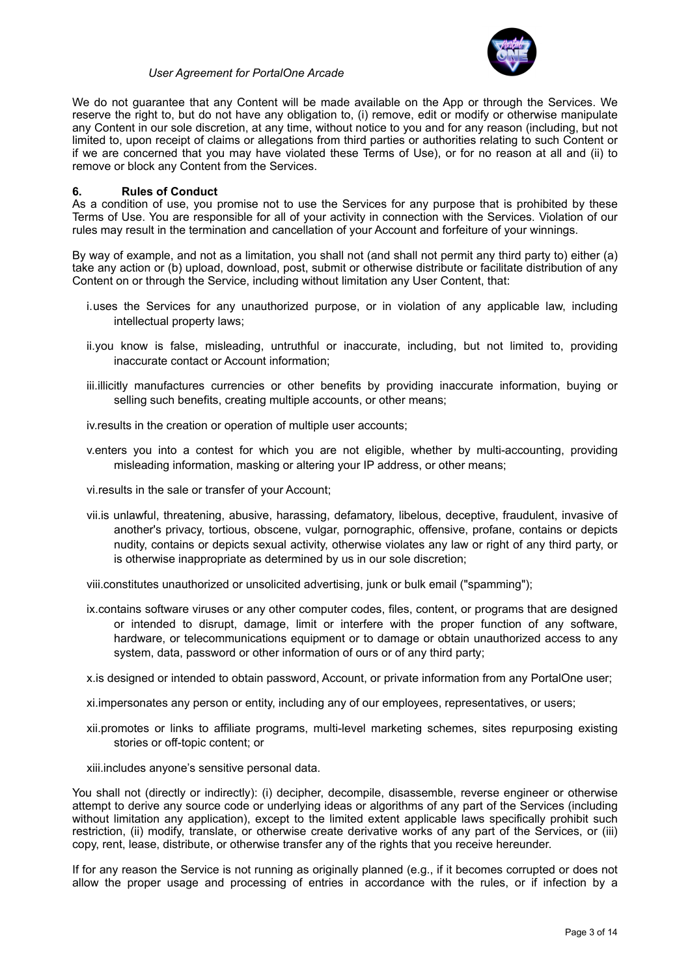

We do not guarantee that any Content will be made available on the App or through the Services. We reserve the right to, but do not have any obligation to, (i) remove, edit or modify or otherwise manipulate any Content in our sole discretion, at any time, without notice to you and for any reason (including, but not limited to, upon receipt of claims or allegations from third parties or authorities relating to such Content or if we are concerned that you may have violated these Terms of Use), or for no reason at all and (ii) to remove or block any Content from the Services.

## **6. Rules of Conduct**

As a condition of use, you promise not to use the Services for any purpose that is prohibited by these Terms of Use. You are responsible for all of your activity in connection with the Services. Violation of our rules may result in the termination and cancellation of your Account and forfeiture of your winnings.

By way of example, and not as a limitation, you shall not (and shall not permit any third party to) either (a) take any action or (b) upload, download, post, submit or otherwise distribute or facilitate distribution of any Content on or through the Service, including without limitation any User Content, that:

- i.uses the Services for any unauthorized purpose, or in violation of any applicable law, including intellectual property laws;
- ii.you know is false, misleading, untruthful or inaccurate, including, but not limited to, providing inaccurate contact or Account information;
- iii.illicitly manufactures currencies or other benefits by providing inaccurate information, buying or selling such benefits, creating multiple accounts, or other means;

iv.results in the creation or operation of multiple user accounts;

v.enters you into a contest for which you are not eligible, whether by multi-accounting, providing misleading information, masking or altering your IP address, or other means;

vi.results in the sale or transfer of your Account;

vii.is unlawful, threatening, abusive, harassing, defamatory, libelous, deceptive, fraudulent, invasive of another's privacy, tortious, obscene, vulgar, pornographic, offensive, profane, contains or depicts nudity, contains or depicts sexual activity, otherwise violates any law or right of any third party, or is otherwise inappropriate as determined by us in our sole discretion;

viii.constitutes unauthorized or unsolicited advertising, junk or bulk email ("spamming");

ix.contains software viruses or any other computer codes, files, content, or programs that are designed or intended to disrupt, damage, limit or interfere with the proper function of any software, hardware, or telecommunications equipment or to damage or obtain unauthorized access to any system, data, password or other information of ours or of any third party;

x.is designed or intended to obtain password, Account, or private information from any PortalOne user;

xi.impersonates any person or entity, including any of our employees, representatives, or users;

xii.promotes or links to affiliate programs, multi-level marketing schemes, sites repurposing existing stories or off-topic content; or

xiii.includes anyone's sensitive personal data.

You shall not (directly or indirectly): (i) decipher, decompile, disassemble, reverse engineer or otherwise attempt to derive any source code or underlying ideas or algorithms of any part of the Services (including without limitation any application), except to the limited extent applicable laws specifically prohibit such restriction, (ii) modify, translate, or otherwise create derivative works of any part of the Services, or (iii) copy, rent, lease, distribute, or otherwise transfer any of the rights that you receive hereunder.

If for any reason the Service is not running as originally planned (e.g., if it becomes corrupted or does not allow the proper usage and processing of entries in accordance with the rules, or if infection by a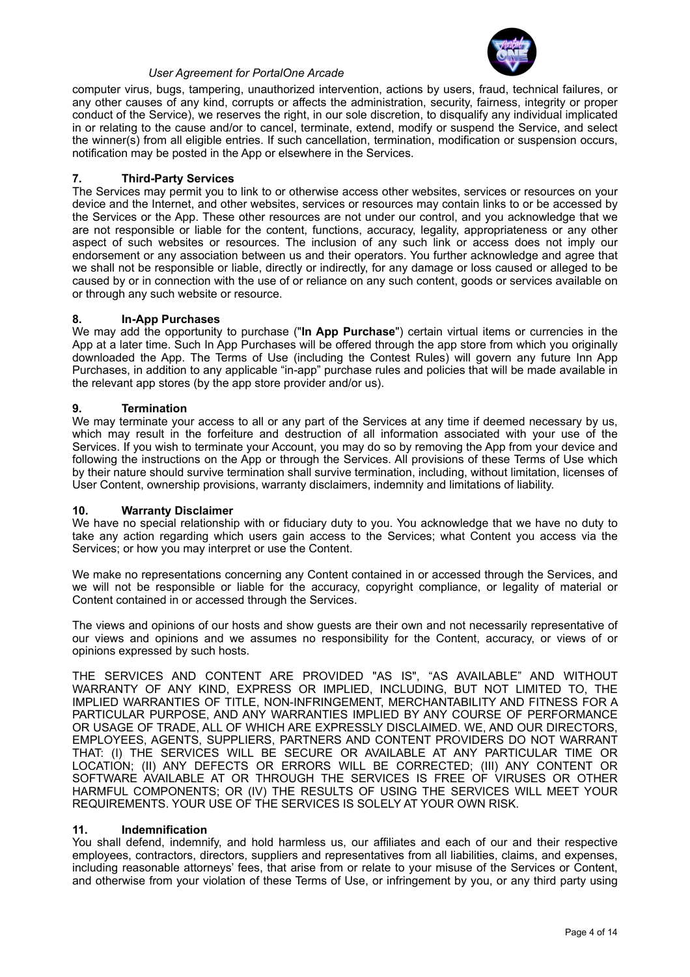

computer virus, bugs, tampering, unauthorized intervention, actions by users, fraud, technical failures, or any other causes of any kind, corrupts or affects the administration, security, fairness, integrity or proper conduct of the Service), we reserves the right, in our sole discretion, to disqualify any individual implicated in or relating to the cause and/or to cancel, terminate, extend, modify or suspend the Service, and select the winner(s) from all eligible entries. If such cancellation, termination, modification or suspension occurs, notification may be posted in the App or elsewhere in the Services.

## **7. Third-Party Services**

The Services may permit you to link to or otherwise access other websites, services or resources on your device and the Internet, and other websites, services or resources may contain links to or be accessed by the Services or the App. These other resources are not under our control, and you acknowledge that we are not responsible or liable for the content, functions, accuracy, legality, appropriateness or any other aspect of such websites or resources. The inclusion of any such link or access does not imply our endorsement or any association between us and their operators. You further acknowledge and agree that we shall not be responsible or liable, directly or indirectly, for any damage or loss caused or alleged to be caused by or in connection with the use of or reliance on any such content, goods or services available on or through any such website or resource.

#### **8. In-App Purchases**

We may add the opportunity to purchase ("**In App Purchase**") certain virtual items or currencies in the App at a later time. Such In App Purchases will be offered through the app store from which you originally downloaded the App. The Terms of Use (including the Contest Rules) will govern any future Inn App Purchases, in addition to any applicable "in-app" purchase rules and policies that will be made available in the relevant app stores (by the app store provider and/or us).

## **9. Termination**

We may terminate your access to all or any part of the Services at any time if deemed necessary by us, which may result in the forfeiture and destruction of all information associated with your use of the Services. If you wish to terminate your Account, you may do so by removing the App from your device and following the instructions on the App or through the Services. All provisions of these Terms of Use which by their nature should survive termination shall survive termination, including, without limitation, licenses of User Content, ownership provisions, warranty disclaimers, indemnity and limitations of liability.

#### **10. Warranty Disclaimer**

We have no special relationship with or fiduciary duty to you. You acknowledge that we have no duty to take any action regarding which users gain access to the Services; what Content you access via the Services; or how you may interpret or use the Content.

We make no representations concerning any Content contained in or accessed through the Services, and we will not be responsible or liable for the accuracy, copyright compliance, or legality of material or Content contained in or accessed through the Services.

The views and opinions of our hosts and show guests are their own and not necessarily representative of our views and opinions and we assumes no responsibility for the Content, accuracy, or views of or opinions expressed by such hosts.

THE SERVICES AND CONTENT ARE PROVIDED "AS IS", "AS AVAILABLE" AND WITHOUT WARRANTY OF ANY KIND, EXPRESS OR IMPLIED, INCLUDING, BUT NOT LIMITED TO, THE IMPLIED WARRANTIES OF TITLE, NON-INFRINGEMENT, MERCHANTABILITY AND FITNESS FOR A PARTICULAR PURPOSE, AND ANY WARRANTIES IMPLIED BY ANY COURSE OF PERFORMANCE OR USAGE OF TRADE, ALL OF WHICH ARE EXPRESSLY DISCLAIMED. WE, AND OUR DIRECTORS, EMPLOYEES, AGENTS, SUPPLIERS, PARTNERS AND CONTENT PROVIDERS DO NOT WARRANT THAT: (I) THE SERVICES WILL BE SECURE OR AVAILABLE AT ANY PARTICULAR TIME OR LOCATION; (II) ANY DEFECTS OR ERRORS WILL BE CORRECTED; (III) ANY CONTENT OR SOFTWARE AVAILABLE AT OR THROUGH THE SERVICES IS FREE OF VIRUSES OR OTHER HARMFUL COMPONENTS; OR (IV) THE RESULTS OF USING THE SERVICES WILL MEET YOUR REQUIREMENTS. YOUR USE OF THE SERVICES IS SOLELY AT YOUR OWN RISK.

#### **11. Indemnification**

You shall defend, indemnify, and hold harmless us, our affiliates and each of our and their respective employees, contractors, directors, suppliers and representatives from all liabilities, claims, and expenses, including reasonable attorneys' fees, that arise from or relate to your misuse of the Services or Content, and otherwise from your violation of these Terms of Use, or infringement by you, or any third party using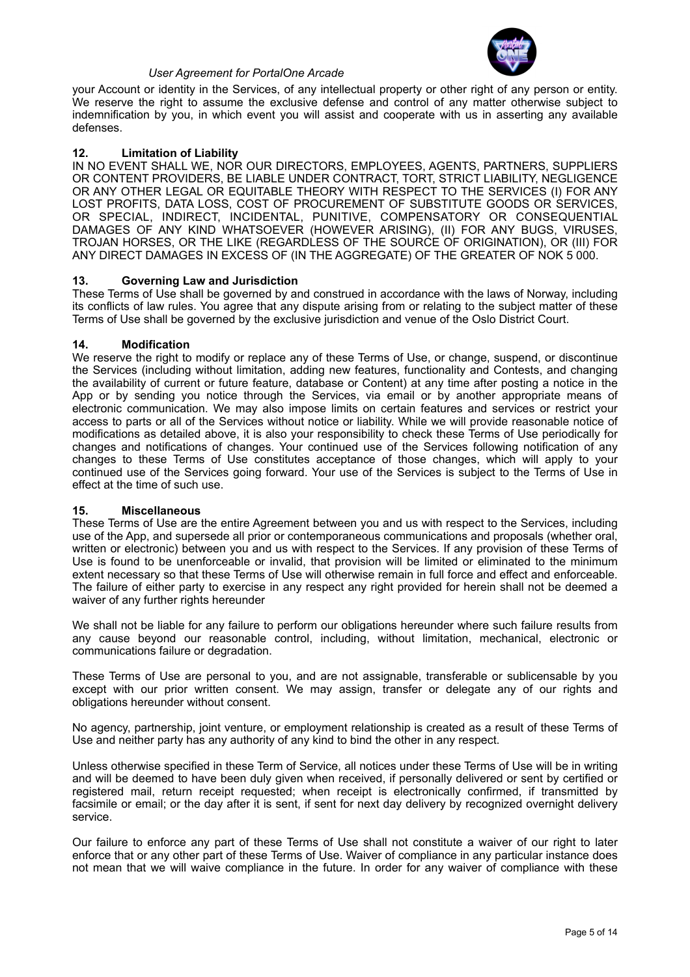

your Account or identity in the Services, of any intellectual property or other right of any person or entity. We reserve the right to assume the exclusive defense and control of any matter otherwise subject to indemnification by you, in which event you will assist and cooperate with us in asserting any available defenses.

## **12. Limitation of Liability**

IN NO EVENT SHALL WE, NOR OUR DIRECTORS, EMPLOYEES, AGENTS, PARTNERS, SUPPLIERS OR CONTENT PROVIDERS, BE LIABLE UNDER CONTRACT, TORT, STRICT LIABILITY, NEGLIGENCE OR ANY OTHER LEGAL OR EQUITABLE THEORY WITH RESPECT TO THE SERVICES (I) FOR ANY LOST PROFITS, DATA LOSS, COST OF PROCUREMENT OF SUBSTITUTE GOODS OR SERVICES, OR SPECIAL, INDIRECT, INCIDENTAL, PUNITIVE, COMPENSATORY OR CONSEQUENTIAL DAMAGES OF ANY KIND WHATSOEVER (HOWEVER ARISING), (II) FOR ANY BUGS, VIRUSES, TROJAN HORSES, OR THE LIKE (REGARDLESS OF THE SOURCE OF ORIGINATION), OR (III) FOR ANY DIRECT DAMAGES IN EXCESS OF (IN THE AGGREGATE) OF THE GREATER OF NOK 5 000.

## **13. Governing Law and Jurisdiction**

These Terms of Use shall be governed by and construed in accordance with the laws of Norway, including its conflicts of law rules. You agree that any dispute arising from or relating to the subject matter of these Terms of Use shall be governed by the exclusive jurisdiction and venue of the Oslo District Court.

## **14. Modification**

We reserve the right to modify or replace any of these Terms of Use, or change, suspend, or discontinue the Services (including without limitation, adding new features, functionality and Contests, and changing the availability of current or future feature, database or Content) at any time after posting a notice in the App or by sending you notice through the Services, via email or by another appropriate means of electronic communication. We may also impose limits on certain features and services or restrict your access to parts or all of the Services without notice or liability. While we will provide reasonable notice of modifications as detailed above, it is also your responsibility to check these Terms of Use periodically for changes and notifications of changes. Your continued use of the Services following notification of any changes to these Terms of Use constitutes acceptance of those changes, which will apply to your continued use of the Services going forward. Your use of the Services is subject to the Terms of Use in effect at the time of such use.

#### **15. Miscellaneous**

These Terms of Use are the entire Agreement between you and us with respect to the Services, including use of the App, and supersede all prior or contemporaneous communications and proposals (whether oral, written or electronic) between you and us with respect to the Services. If any provision of these Terms of Use is found to be unenforceable or invalid, that provision will be limited or eliminated to the minimum extent necessary so that these Terms of Use will otherwise remain in full force and effect and enforceable. The failure of either party to exercise in any respect any right provided for herein shall not be deemed a waiver of any further rights hereunder

We shall not be liable for any failure to perform our obligations hereunder where such failure results from any cause beyond our reasonable control, including, without limitation, mechanical, electronic or communications failure or degradation.

These Terms of Use are personal to you, and are not assignable, transferable or sublicensable by you except with our prior written consent. We may assign, transfer or delegate any of our rights and obligations hereunder without consent.

No agency, partnership, joint venture, or employment relationship is created as a result of these Terms of Use and neither party has any authority of any kind to bind the other in any respect.

Unless otherwise specified in these Term of Service, all notices under these Terms of Use will be in writing and will be deemed to have been duly given when received, if personally delivered or sent by certified or registered mail, return receipt requested; when receipt is electronically confirmed, if transmitted by facsimile or email; or the day after it is sent, if sent for next day delivery by recognized overnight delivery service.

Our failure to enforce any part of these Terms of Use shall not constitute a waiver of our right to later enforce that or any other part of these Terms of Use. Waiver of compliance in any particular instance does not mean that we will waive compliance in the future. In order for any waiver of compliance with these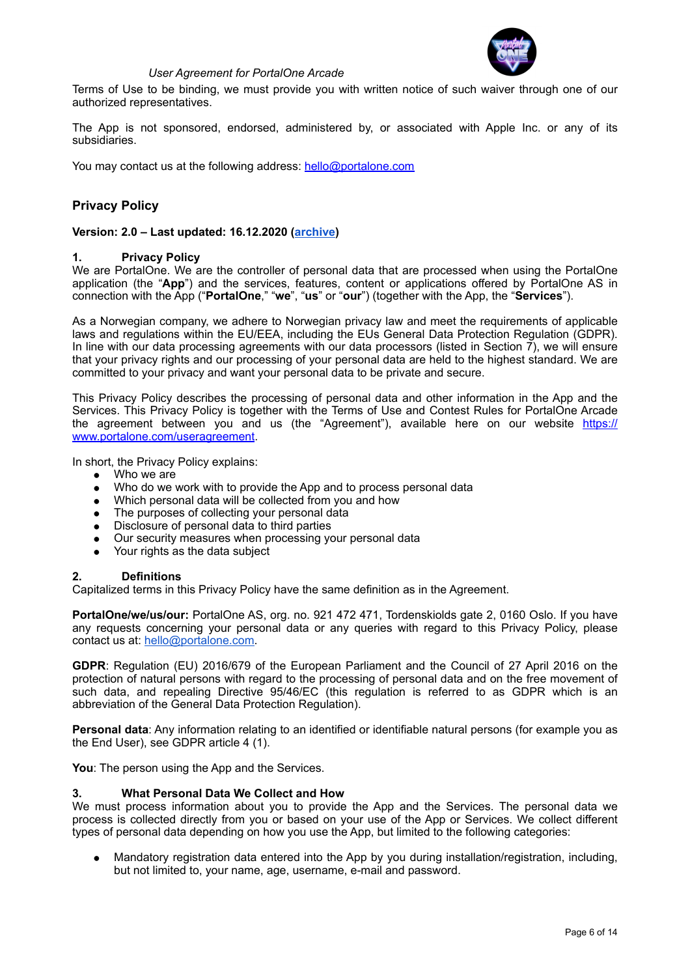

Terms of Use to be binding, we must provide you with written notice of such waiver through one of our authorized representatives.

The App is not sponsored, endorsed, administered by, or associated with Apple Inc. or any of its subsidiaries.

You may contact us at the following address: [hello@portalone.com](mailto:hello@portalone.com)

# **Privacy Policy**

## **Version: 2.0 – Last updated: 16.12.2020 [\(archive](https://www.portalone.com/useragreement/archived))**

## **1. Privacy Policy**

We are PortalOne. We are the controller of personal data that are processed when using the PortalOne application (the "**App**") and the services, features, content or applications offered by PortalOne AS in connection with the App ("**PortalOne**," "**we**", "**us**" or "**our**") (together with the App, the "**Services**").

As a Norwegian company, we adhere to Norwegian privacy law and meet the requirements of applicable laws and regulations within the EU/EEA, including the EUs General Data Protection Regulation (GDPR). In line with our data processing agreements with our data processors (listed in Section 7), we will ensure that your privacy rights and our processing of your personal data are held to the highest standard. We are committed to your privacy and want your personal data to be private and secure.

This Privacy Policy describes the processing of personal data and other information in the App and the Services. This Privacy Policy is together with the Terms of Use and Contest Rules for PortalOne Arcade the agreement between you and us (the "Agreement"), available here on our website [https://](https://www.portalone.com/useragreement) [www.portalone.com/useragreement.](https://www.portalone.com/useragreement)

In short, the Privacy Policy explains:

- Who we are
- Who do we work with to provide the App and to process personal data
- Which personal data will be collected from you and how
- The purposes of collecting your personal data
- Disclosure of personal data to third parties
- Our security measures when processing your personal data
- Your rights as the data subject

## **2. Definitions**

Capitalized terms in this Privacy Policy have the same definition as in the Agreement.

**PortalOne/we/us/our:** PortalOne AS, org. no. 921 472 471, Tordenskiolds gate 2, 0160 Oslo. If you have any requests concerning your personal data or any queries with regard to this Privacy Policy, please contact us at: [hello@portalone.com](mailto:hello@portalone.com).

**GDPR**: Regulation (EU) 2016/679 of the European Parliament and the Council of 27 April 2016 on the protection of natural persons with regard to the processing of personal data and on the free movement of such data, and repealing Directive 95/46/EC (this regulation is referred to as GDPR which is an abbreviation of the General Data Protection Regulation).

**Personal data**: Any information relating to an identified or identifiable natural persons (for example you as the End User), see GDPR article 4 (1).

**You**: The person using the App and the Services.

#### **3. What Personal Data We Collect and How**

We must process information about you to provide the App and the Services. The personal data we process is collected directly from you or based on your use of the App or Services. We collect different types of personal data depending on how you use the App, but limited to the following categories:

Mandatory registration data entered into the App by you during installation/registration, including, but not limited to, your name, age, username, e-mail and password.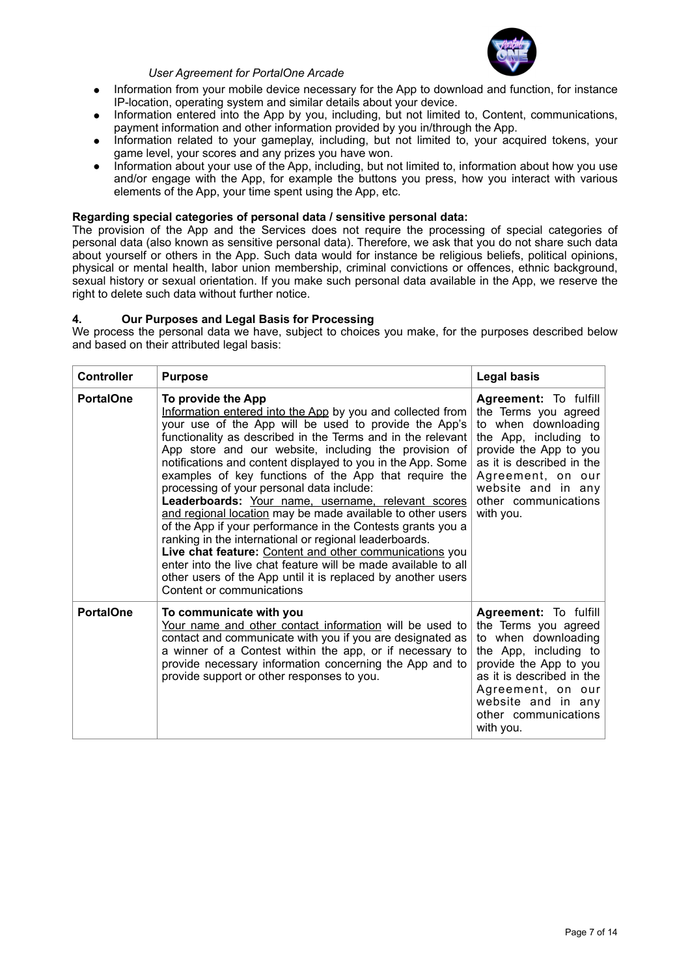

- Information from your mobile device necessary for the App to download and function, for instance IP-location, operating system and similar details about your device.
- Information entered into the App by you, including, but not limited to, Content, communications, payment information and other information provided by you in/through the App.
- Information related to your gameplay, including, but not limited to, your acquired tokens, your game level, your scores and any prizes you have won.
- Information about your use of the App, including, but not limited to, information about how you use and/or engage with the App, for example the buttons you press, how you interact with various elements of the App, your time spent using the App, etc.

## **Regarding special categories of personal data / sensitive personal data:**

The provision of the App and the Services does not require the processing of special categories of personal data (also known as sensitive personal data). Therefore, we ask that you do not share such data about yourself or others in the App. Such data would for instance be religious beliefs, political opinions, physical or mental health, labor union membership, criminal convictions or offences, ethnic background, sexual history or sexual orientation. If you make such personal data available in the App, we reserve the right to delete such data without further notice.

## **4. Our Purposes and Legal Basis for Processing**

We process the personal data we have, subject to choices you make, for the purposes described below and based on their attributed legal basis:

| <b>Controller</b> | <b>Purpose</b>                                                                                                                                                                                                                                                                                                                                                                                                                                                                                                                                                                                                                                                                                                                                                                                                                                                                                                | <b>Legal basis</b>                                                                                                                                                                                                                   |
|-------------------|---------------------------------------------------------------------------------------------------------------------------------------------------------------------------------------------------------------------------------------------------------------------------------------------------------------------------------------------------------------------------------------------------------------------------------------------------------------------------------------------------------------------------------------------------------------------------------------------------------------------------------------------------------------------------------------------------------------------------------------------------------------------------------------------------------------------------------------------------------------------------------------------------------------|--------------------------------------------------------------------------------------------------------------------------------------------------------------------------------------------------------------------------------------|
| <b>PortalOne</b>  | To provide the App<br>Information entered into the App by you and collected from<br>your use of the App will be used to provide the App's<br>functionality as described in the Terms and in the relevant<br>App store and our website, including the provision of<br>notifications and content displayed to you in the App. Some<br>examples of key functions of the App that require the<br>processing of your personal data include:<br>Leaderboards: Your name, username, relevant scores<br>and regional location may be made available to other users<br>of the App if your performance in the Contests grants you a<br>ranking in the international or regional leaderboards.<br>Live chat feature: Content and other communications you<br>enter into the live chat feature will be made available to all<br>other users of the App until it is replaced by another users<br>Content or communications | Agreement: To fulfill<br>the Terms you agreed<br>to when downloading<br>the App, including to<br>provide the App to you<br>as it is described in the<br>Agreement, on our<br>website and in any<br>other communications<br>with you. |
| <b>PortalOne</b>  | To communicate with you<br>Your name and other contact information will be used to<br>contact and communicate with you if you are designated as<br>a winner of a Contest within the app, or if necessary to<br>provide necessary information concerning the App and to<br>provide support or other responses to you.                                                                                                                                                                                                                                                                                                                                                                                                                                                                                                                                                                                          | Agreement: To fulfill<br>the Terms you agreed<br>to when downloading<br>the App, including to<br>provide the App to you<br>as it is described in the<br>Agreement, on our<br>website and in any<br>other communications<br>with you. |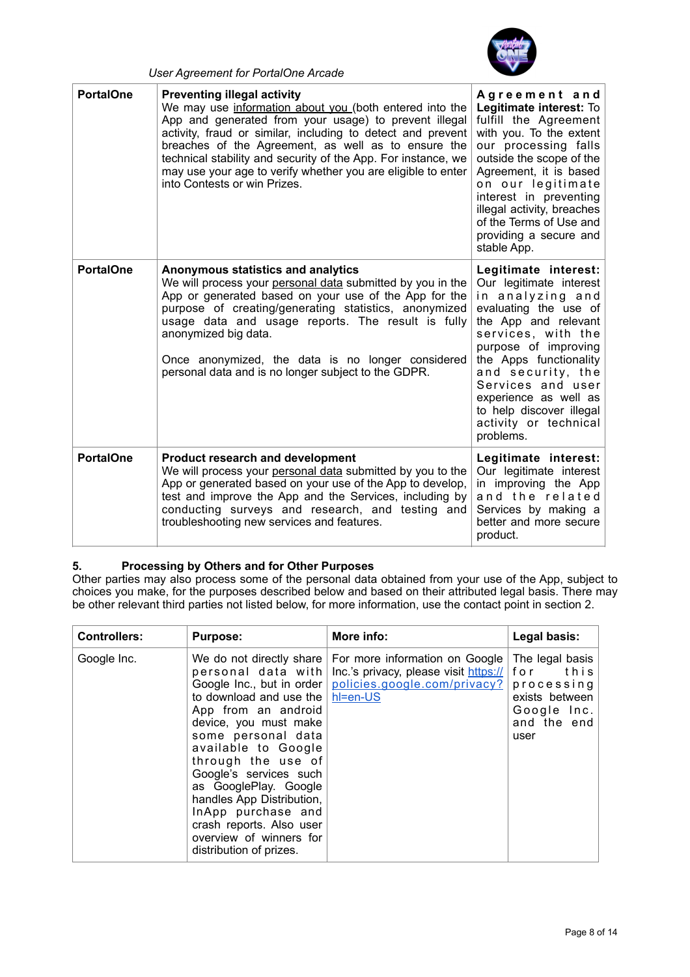

| <b>PortalOne</b> | <b>Preventing illegal activity</b><br>We may use information about you (both entered into the<br>App and generated from your usage) to prevent illegal<br>activity, fraud or similar, including to detect and prevent<br>breaches of the Agreement, as well as to ensure the<br>technical stability and security of the App. For instance, we<br>may use your age to verify whether you are eligible to enter<br>into Contests or win Prizes. | Agreement and<br>Legitimate interest: To<br>fulfill the Agreement<br>with you. To the extent<br>our processing falls<br>outside the scope of the<br>Agreement, it is based<br>on our legitimate<br>interest in preventing<br>illegal activity, breaches<br>of the Terms of Use and<br>providing a secure and<br>stable App.       |
|------------------|-----------------------------------------------------------------------------------------------------------------------------------------------------------------------------------------------------------------------------------------------------------------------------------------------------------------------------------------------------------------------------------------------------------------------------------------------|-----------------------------------------------------------------------------------------------------------------------------------------------------------------------------------------------------------------------------------------------------------------------------------------------------------------------------------|
| <b>PortalOne</b> | Anonymous statistics and analytics<br>We will process your personal data submitted by you in the<br>App or generated based on your use of the App for the<br>purpose of creating/generating statistics, anonymized<br>usage data and usage reports. The result is fully<br>anonymized big data.<br>Once anonymized, the data is no longer considered<br>personal data and is no longer subject to the GDPR.                                   | Legitimate interest:<br>Our legitimate interest<br>in analyzing and<br>evaluating the use of<br>the App and relevant<br>services, with the<br>purpose of improving<br>the Apps functionality<br>and security, the<br>Services and user<br>experience as well as<br>to help discover illegal<br>activity or technical<br>problems. |
| <b>PortalOne</b> | <b>Product research and development</b><br>We will process your personal data submitted by you to the<br>App or generated based on your use of the App to develop,<br>test and improve the App and the Services, including by<br>conducting surveys and research, and testing and<br>troubleshooting new services and features.                                                                                                               | Legitimate interest:<br>Our legitimate interest<br>in improving the App<br>and the related<br>Services by making a<br>better and more secure<br>product.                                                                                                                                                                          |

# **5. Processing by Others and for Other Purposes**

*User Agreement for PortalOne Arcade* 

Other parties may also process some of the personal data obtained from your use of the App, subject to choices you make, for the purposes described below and based on their attributed legal basis. There may be other relevant third parties not listed below, for more information, use the contact point in section 2.

| <b>Controllers:</b> | <b>Purpose:</b>                                                                                                                                                                                                                                                                                                                                                                                                   | More info:                                                                                                          | Legal basis:                                                                                         |
|---------------------|-------------------------------------------------------------------------------------------------------------------------------------------------------------------------------------------------------------------------------------------------------------------------------------------------------------------------------------------------------------------------------------------------------------------|---------------------------------------------------------------------------------------------------------------------|------------------------------------------------------------------------------------------------------|
| Google Inc.         | We do not directly share<br>personal data with<br>Google Inc., but in order<br>to download and use the<br>App from an android<br>device, you must make<br>some personal data<br>available to Google<br>through the use of<br>Google's services such<br>as GooglePlay. Google<br>handles App Distribution,<br>InApp purchase and<br>crash reports. Also user<br>overview of winners for<br>distribution of prizes. | For more information on Google<br>Inc.'s privacy, please visit https://<br>policies.google.com/privacy?<br>hl=en-US | The legal basis<br>for<br>this<br>processing<br>exists between<br>Google Inc.<br>and the end<br>user |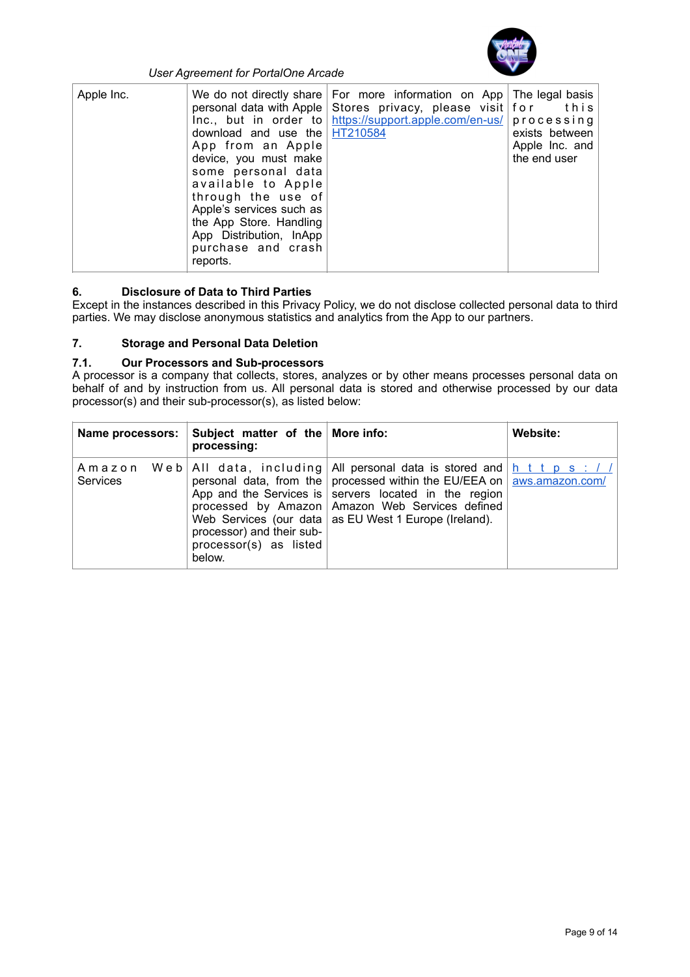

| Apple Inc. | download and use the $HT210584$<br>App from an Apple<br>device, you must make<br>some personal data<br>available to Apple<br>through the use of<br>Apple's services such as<br>the App Store. Handling<br>App Distribution, InApp<br>purchase and crash<br>reports. | We do not directly share   For more information on App   The legal basis  <br>personal data with Apple Stores privacy, please visit for this<br>$Inc.,$ but in order to https://support.apple.com/en-us/ processing | exists between<br>Apple Inc. and<br>the end user |
|------------|---------------------------------------------------------------------------------------------------------------------------------------------------------------------------------------------------------------------------------------------------------------------|---------------------------------------------------------------------------------------------------------------------------------------------------------------------------------------------------------------------|--------------------------------------------------|
|------------|---------------------------------------------------------------------------------------------------------------------------------------------------------------------------------------------------------------------------------------------------------------------|---------------------------------------------------------------------------------------------------------------------------------------------------------------------------------------------------------------------|--------------------------------------------------|

# **6. Disclosure of Data to Third Parties**

Except in the instances described in this Privacy Policy, we do not disclose collected personal data to third parties. We may disclose anonymous statistics and analytics from the App to our partners.

## **7. Storage and Personal Data Deletion**

# **7.1. Our Processors and Sub-processors**

A processor is a company that collects, stores, analyzes or by other means processes personal data on behalf of and by instruction from us. All personal data is stored and otherwise processed by our data processor(s) and their sub-processor(s), as listed below:

| <b>Name processors:</b> | Subject matter of the More info:<br>processing:               |                                                                                                                                                                                                                                                                                                                                                     | Website: |
|-------------------------|---------------------------------------------------------------|-----------------------------------------------------------------------------------------------------------------------------------------------------------------------------------------------------------------------------------------------------------------------------------------------------------------------------------------------------|----------|
| <b>Services</b>         | processor) and their sub-<br>processor(s) as listed<br>below. | A m a z o n We b   All data, including   All personal data is stored and   h t t p s : / /<br>personal data, from the processed within the EU/EEA on aws.amazon.com/<br>App and the Services is servers located in the region<br>processed by Amazon   Amazon Web Services defined<br>Web Services (our data $\vert$ as EU West 1 Europe (Ireland). |          |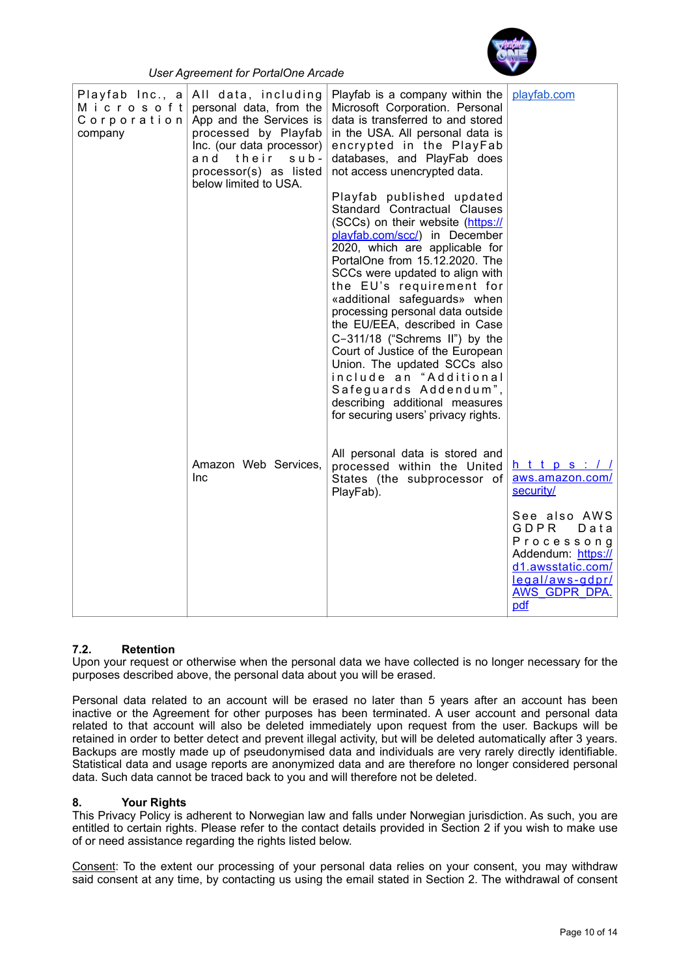

| Playfab Inc., $a$<br>company | All data, including<br>M i c r o s o f t personal data, from the<br>Corporation App and the Services is<br>processed by Playfab<br>Inc. (our data processor)<br>and their<br>$s$ u $b$ -<br>processor(s) as listed<br>below limited to USA. | Playfab is a company within the<br>Microsoft Corporation. Personal<br>data is transferred to and stored<br>in the USA. All personal data is<br>encrypted in the PlayFab<br>databases, and PlayFab does<br>not access unencrypted data.<br>Playfab published updated<br>Standard Contractual Clauses<br>(SCCs) on their website (https://<br>playfab.com/scc/) in December<br>2020, which are applicable for<br>PortalOne from 15.12.2020. The<br>SCCs were updated to align with<br>the EU's requirement for<br>«additional safeguards» when<br>processing personal data outside<br>the EU/EEA, described in Case<br>C-311/18 ("Schrems II") by the<br>Court of Justice of the European<br>Union. The updated SCCs also<br>include an "Additional<br>Safeguards Addendum",<br>describing additional measures<br>for securing users' privacy rights. | playfab.com                                                                                                                             |
|------------------------------|---------------------------------------------------------------------------------------------------------------------------------------------------------------------------------------------------------------------------------------------|-----------------------------------------------------------------------------------------------------------------------------------------------------------------------------------------------------------------------------------------------------------------------------------------------------------------------------------------------------------------------------------------------------------------------------------------------------------------------------------------------------------------------------------------------------------------------------------------------------------------------------------------------------------------------------------------------------------------------------------------------------------------------------------------------------------------------------------------------------|-----------------------------------------------------------------------------------------------------------------------------------------|
|                              | Amazon Web Services,<br><b>Inc</b>                                                                                                                                                                                                          | All personal data is stored and<br>processed within the United<br>States (the subprocessor of<br>PlayFab).                                                                                                                                                                                                                                                                                                                                                                                                                                                                                                                                                                                                                                                                                                                                          | <u>https://</u><br>aws.amazon.com/<br>security/                                                                                         |
|                              |                                                                                                                                                                                                                                             |                                                                                                                                                                                                                                                                                                                                                                                                                                                                                                                                                                                                                                                                                                                                                                                                                                                     | See also AWS<br>GDPR<br>Data<br>Processong<br>Addendum: https://<br>d1.awsstatic.com/<br>legal/aws-gdpr/<br><b>AWS GDPR DPA.</b><br>pdf |

## **7.2. Retention**

Upon your request or otherwise when the personal data we have collected is no longer necessary for the purposes described above, the personal data about you will be erased.

Personal data related to an account will be erased no later than 5 years after an account has been inactive or the Agreement for other purposes has been terminated. A user account and personal data related to that account will also be deleted immediately upon request from the user. Backups will be retained in order to better detect and prevent illegal activity, but will be deleted automatically after 3 years. Backups are mostly made up of pseudonymised data and individuals are very rarely directly identifiable. Statistical data and usage reports are anonymized data and are therefore no longer considered personal data. Such data cannot be traced back to you and will therefore not be deleted.

## **8. Your Rights**

This Privacy Policy is adherent to Norwegian law and falls under Norwegian jurisdiction. As such, you are entitled to certain rights. Please refer to the contact details provided in Section 2 if you wish to make use of or need assistance regarding the rights listed below.

Consent: To the extent our processing of your personal data relies on your consent, you may withdraw said consent at any time, by contacting us using the email stated in Section 2. The withdrawal of consent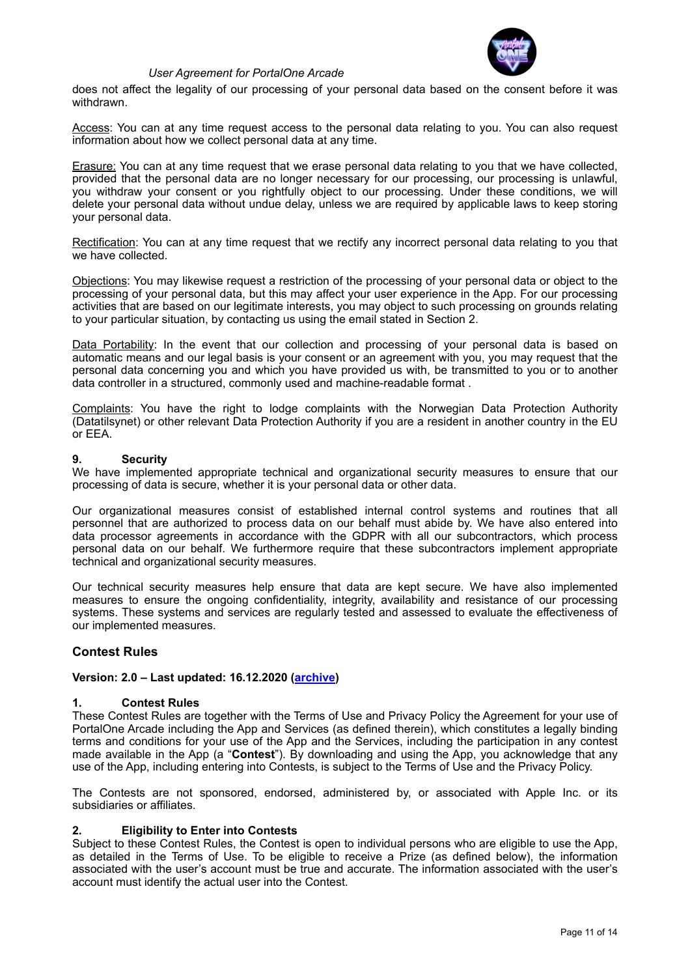

does not affect the legality of our processing of your personal data based on the consent before it was withdrawn.

Access: You can at any time request access to the personal data relating to you. You can also request information about how we collect personal data at any time.

Erasure: You can at any time request that we erase personal data relating to you that we have collected, provided that the personal data are no longer necessary for our processing, our processing is unlawful, you withdraw your consent or you rightfully object to our processing. Under these conditions, we will delete your personal data without undue delay, unless we are required by applicable laws to keep storing your personal data.

Rectification: You can at any time request that we rectify any incorrect personal data relating to you that we have collected.

Objections: You may likewise request a restriction of the processing of your personal data or object to the processing of your personal data, but this may affect your user experience in the App. For our processing activities that are based on our legitimate interests, you may object to such processing on grounds relating to your particular situation, by contacting us using the email stated in Section 2.

Data Portability: In the event that our collection and processing of your personal data is based on automatic means and our legal basis is your consent or an agreement with you, you may request that the personal data concerning you and which you have provided us with, be transmitted to you or to another data controller in a structured, commonly used and machine-readable format .

Complaints: You have the right to lodge complaints with the Norwegian Data Protection Authority (Datatilsynet) or other relevant Data Protection Authority if you are a resident in another country in the EU or EEA.

#### **9. Security**

We have implemented appropriate technical and organizational security measures to ensure that our processing of data is secure, whether it is your personal data or other data.

Our organizational measures consist of established internal control systems and routines that all personnel that are authorized to process data on our behalf must abide by. We have also entered into data processor agreements in accordance with the GDPR with all our subcontractors, which process personal data on our behalf. We furthermore require that these subcontractors implement appropriate technical and organizational security measures.

Our technical security measures help ensure that data are kept secure. We have also implemented measures to ensure the ongoing confidentiality, integrity, availability and resistance of our processing systems. These systems and services are regularly tested and assessed to evaluate the effectiveness of our implemented measures.

#### **Contest Rules**

#### **Version: 2.0 – Last updated: 16.12.2020 [\(archive](https://www.portalone.com/useragreement/archived))**

#### **1. Contest Rules**

These Contest Rules are together with the Terms of Use and Privacy Policy the Agreement for your use of PortalOne Arcade including the App and Services (as defined therein), which constitutes a legally binding terms and conditions for your use of the App and the Services, including the participation in any contest made available in the App (a "**Contest**"). By downloading and using the App, you acknowledge that any use of the App, including entering into Contests, is subject to the Terms of Use and the Privacy Policy.

The Contests are not sponsored, endorsed, administered by, or associated with Apple Inc. or its subsidiaries or affiliates.

#### **2. Eligibility to Enter into Contests**

Subject to these Contest Rules, the Contest is open to individual persons who are eligible to use the App, as detailed in the Terms of Use. To be eligible to receive a Prize (as defined below), the information associated with the user's account must be true and accurate. The information associated with the user's account must identify the actual user into the Contest.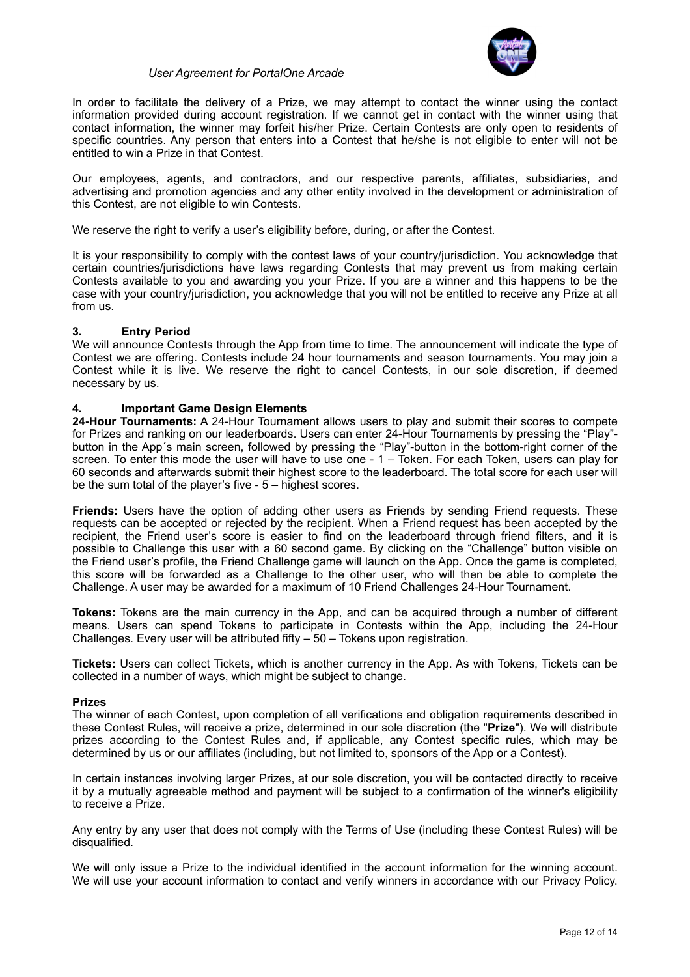

In order to facilitate the delivery of a Prize, we may attempt to contact the winner using the contact information provided during account registration. If we cannot get in contact with the winner using that contact information, the winner may forfeit his/her Prize. Certain Contests are only open to residents of specific countries. Any person that enters into a Contest that he/she is not eligible to enter will not be entitled to win a Prize in that Contest.

Our employees, agents, and contractors, and our respective parents, affiliates, subsidiaries, and advertising and promotion agencies and any other entity involved in the development or administration of this Contest, are not eligible to win Contests.

We reserve the right to verify a user's eligibility before, during, or after the Contest.

It is your responsibility to comply with the contest laws of your country/jurisdiction. You acknowledge that certain countries/jurisdictions have laws regarding Contests that may prevent us from making certain Contests available to you and awarding you your Prize. If you are a winner and this happens to be the case with your country/jurisdiction, you acknowledge that you will not be entitled to receive any Prize at all from us.

## **3. Entry Period**

We will announce Contests through the App from time to time. The announcement will indicate the type of Contest we are offering. Contests include 24 hour tournaments and season tournaments. You may join a Contest while it is live. We reserve the right to cancel Contests, in our sole discretion, if deemed necessary by us.

## **4. Important Game Design Elements**

**24-Hour Tournaments:** A 24-Hour Tournament allows users to play and submit their scores to compete for Prizes and ranking on our leaderboards. Users can enter 24-Hour Tournaments by pressing the "Play" button in the App´s main screen, followed by pressing the "Play"-button in the bottom-right corner of the screen. To enter this mode the user will have to use one - 1 – Token. For each Token, users can play for 60 seconds and afterwards submit their highest score to the leaderboard. The total score for each user will be the sum total of the player's five - 5 – highest scores.

**Friends:** Users have the option of adding other users as Friends by sending Friend requests. These requests can be accepted or rejected by the recipient. When a Friend request has been accepted by the recipient, the Friend user's score is easier to find on the leaderboard through friend filters, and it is possible to Challenge this user with a 60 second game. By clicking on the "Challenge" button visible on the Friend user's profile, the Friend Challenge game will launch on the App. Once the game is completed, this score will be forwarded as a Challenge to the other user, who will then be able to complete the Challenge. A user may be awarded for a maximum of 10 Friend Challenges 24-Hour Tournament.

**Tokens:** Tokens are the main currency in the App, and can be acquired through a number of different means. Users can spend Tokens to participate in Contests within the App, including the 24-Hour Challenges. Every user will be attributed fifty – 50 – Tokens upon registration.

**Tickets:** Users can collect Tickets, which is another currency in the App. As with Tokens, Tickets can be collected in a number of ways, which might be subject to change.

#### **Prizes**

The winner of each Contest, upon completion of all verifications and obligation requirements described in these Contest Rules, will receive a prize, determined in our sole discretion (the "**Prize**"). We will distribute prizes according to the Contest Rules and, if applicable, any Contest specific rules, which may be determined by us or our affiliates (including, but not limited to, sponsors of the App or a Contest).

In certain instances involving larger Prizes, at our sole discretion, you will be contacted directly to receive it by a mutually agreeable method and payment will be subject to a confirmation of the winner's eligibility to receive a Prize.

Any entry by any user that does not comply with the Terms of Use (including these Contest Rules) will be disqualified.

We will only issue a Prize to the individual identified in the account information for the winning account. We will use your account information to contact and verify winners in accordance with our Privacy Policy.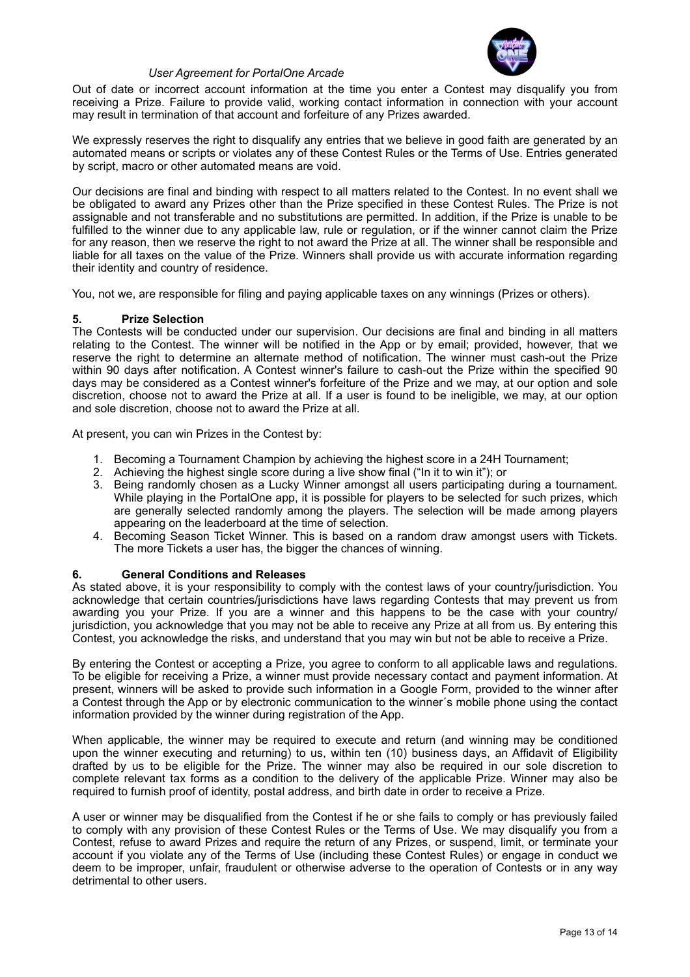

Out of date or incorrect account information at the time you enter a Contest may disqualify you from receiving a Prize. Failure to provide valid, working contact information in connection with your account may result in termination of that account and forfeiture of any Prizes awarded.

We expressly reserves the right to disqualify any entries that we believe in good faith are generated by an automated means or scripts or violates any of these Contest Rules or the Terms of Use. Entries generated by script, macro or other automated means are void.

Our decisions are final and binding with respect to all matters related to the Contest. In no event shall we be obligated to award any Prizes other than the Prize specified in these Contest Rules. The Prize is not assignable and not transferable and no substitutions are permitted. In addition, if the Prize is unable to be fulfilled to the winner due to any applicable law, rule or regulation, or if the winner cannot claim the Prize for any reason, then we reserve the right to not award the Prize at all. The winner shall be responsible and liable for all taxes on the value of the Prize. Winners shall provide us with accurate information regarding their identity and country of residence.

You, not we, are responsible for filing and paying applicable taxes on any winnings (Prizes or others).

## **5. Prize Selection**

The Contests will be conducted under our supervision. Our decisions are final and binding in all matters relating to the Contest. The winner will be notified in the App or by email; provided, however, that we reserve the right to determine an alternate method of notification. The winner must cash-out the Prize within 90 days after notification. A Contest winner's failure to cash-out the Prize within the specified 90 days may be considered as a Contest winner's forfeiture of the Prize and we may, at our option and sole discretion, choose not to award the Prize at all. If a user is found to be ineligible, we may, at our option and sole discretion, choose not to award the Prize at all.

At present, you can win Prizes in the Contest by:

- 1. Becoming a Tournament Champion by achieving the highest score in a 24H Tournament;
- 2. Achieving the highest single score during a live show final ("In it to win it"); or
- 3. Being randomly chosen as a Lucky Winner amongst all users participating during a tournament. While playing in the PortalOne app, it is possible for players to be selected for such prizes, which are generally selected randomly among the players. The selection will be made among players appearing on the leaderboard at the time of selection.
- 4. Becoming Season Ticket Winner. This is based on a random draw amongst users with Tickets. The more Tickets a user has, the bigger the chances of winning.

#### **6. General Conditions and Releases**

As stated above, it is your responsibility to comply with the contest laws of your country/jurisdiction. You acknowledge that certain countries/jurisdictions have laws regarding Contests that may prevent us from awarding you your Prize. If you are a winner and this happens to be the case with your country/ jurisdiction, you acknowledge that you may not be able to receive any Prize at all from us. By entering this Contest, you acknowledge the risks, and understand that you may win but not be able to receive a Prize.

By entering the Contest or accepting a Prize, you agree to conform to all applicable laws and regulations. To be eligible for receiving a Prize, a winner must provide necessary contact and payment information. At present, winners will be asked to provide such information in a Google Form, provided to the winner after a Contest through the App or by electronic communication to the winner´s mobile phone using the contact information provided by the winner during registration of the App.

When applicable, the winner may be required to execute and return (and winning may be conditioned upon the winner executing and returning) to us, within ten (10) business days, an Affidavit of Eligibility drafted by us to be eligible for the Prize. The winner may also be required in our sole discretion to complete relevant tax forms as a condition to the delivery of the applicable Prize. Winner may also be required to furnish proof of identity, postal address, and birth date in order to receive a Prize.

A user or winner may be disqualified from the Contest if he or she fails to comply or has previously failed to comply with any provision of these Contest Rules or the Terms of Use. We may disqualify you from a Contest, refuse to award Prizes and require the return of any Prizes, or suspend, limit, or terminate your account if you violate any of the Terms of Use (including these Contest Rules) or engage in conduct we deem to be improper, unfair, fraudulent or otherwise adverse to the operation of Contests or in any way detrimental to other users.